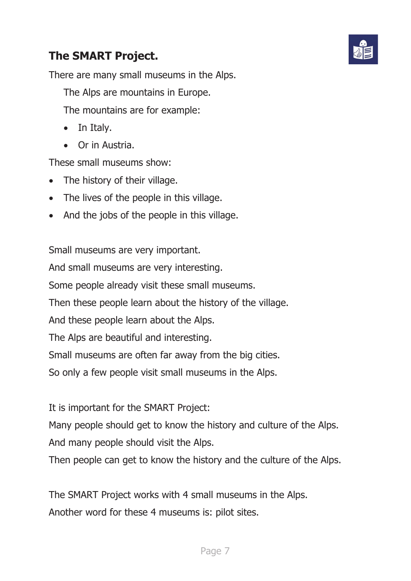## **The SMART Project.**



There are many small museums in the Alps.

The Alps are mountains in Europe.

The mountains are for example:

- In Italy.
- Or in Austria.

These small museums show:

- The history of their village.
- $\bullet$  The lives of the people in this village.
- And the jobs of the people in this village.

Small museums are very important.

And small museums are very interesting.

Some people already visit these small museums.

Then these people learn about the history of the village.

And these people learn about the Alps.

The Alps are beautiful and interesting.

Small museums are often far away from the big cities.

So only a few people visit small museums in the Alps.

It is important for the SMART Project:

Many people should get to know the history and culture of the Alps.

And many people should visit the Alps.

Then people can get to know the history and the culture of the Alps.

The SMART Project works with 4 small museums in the Alps. Another word for these 4 museums is: pilot sites.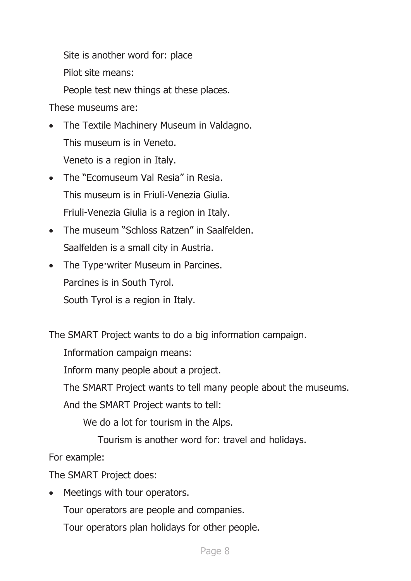Site is another word for: place

Pilot site means:

People test new things at these places.

These museums are:

- The Textile Machinery Museum in Valdagno. This museum is in Veneto. Veneto is a region in Italy.
- The "Ecomuseum Val Resia" in Resia. This museum is in Friuli-Venezia Giulia. Friuli-Venezia Giulia is a region in Italy.
- The museum "Schloss Ratzen" in Saalfelden. Saalfelden is a small city in Austria.
- The Type writer Museum in Parcines. Parcines is in South Tyrol. South Tyrol is a region in Italy.

The SMART Project wants to do a big information campaign.

Information campaign means:

Inform many people about a project.

The SMART Project wants to tell many people about the museums.

And the SMART Project wants to tell:

We do a lot for tourism in the Alps.

Tourism is another word for: travel and holidays.

For example:

The SMART Project does:

• Meetings with tour operators.

Tour operators are people and companies.

Tour operators plan holidays for other people.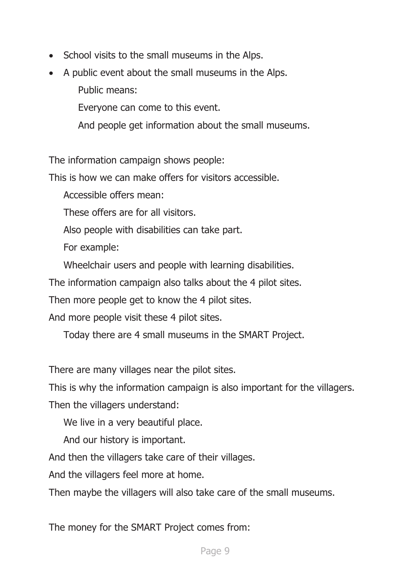- School visits to the small museums in the Alps.
- A public event about the small museums in the Alps.

Public means:

Everyone can come to this event.

And people get information about the small museums.

The information campaign shows people:

This is how we can make offers for visitors accessible.

Accessible offers mean:

These offers are for all visitors.

Also people with disabilities can take part.

For example:

Wheelchair users and people with learning disabilities.

The information campaign also talks about the 4 pilot sites.

Then more people get to know the 4 pilot sites.

And more people visit these 4 pilot sites.

Today there are 4 small museums in the SMART Project.

There are many villages near the pilot sites.

This is why the information campaign is also important for the villagers.

Then the villagers understand:

We live in a very beautiful place.

And our history is important.

And then the villagers take care of their villages.

And the villagers feel more at home.

Then maybe the villagers will also take care of the small museums.

The money for the SMART Project comes from: